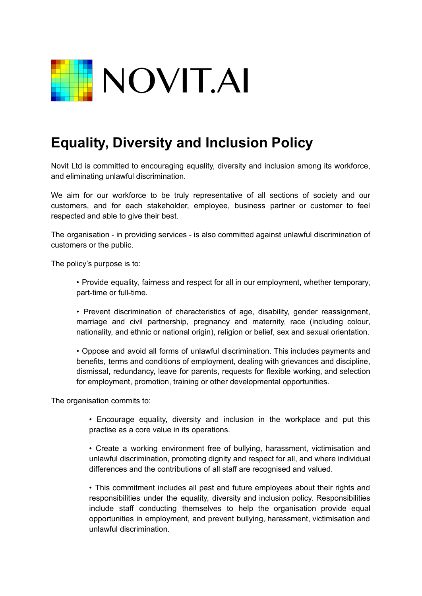

## **Equality, Diversity and Inclusion Policy**

Novit Ltd is committed to encouraging equality, diversity and inclusion among its workforce, and eliminating unlawful discrimination.

We aim for our workforce to be truly representative of all sections of society and our customers, and for each stakeholder, employee, business partner or customer to feel respected and able to give their best.

The organisation - in providing services - is also committed against unlawful discrimination of customers or the public.

The policy's purpose is to:

• Provide equality, fairness and respect for all in our employment, whether temporary, part-time or full-time.

• Prevent discrimination of characteristics of age, disability, gender reassignment, marriage and civil partnership, pregnancy and maternity, race (including colour, nationality, and ethnic or national origin), religion or belief, sex and sexual orientation.

• Oppose and avoid all forms of unlawful discrimination. This includes payments and benefits, terms and conditions of employment, dealing with grievances and discipline, dismissal, redundancy, leave for parents, requests for flexible working, and selection for employment, promotion, training or other developmental opportunities.

The organisation commits to:

• Encourage equality, diversity and inclusion in the workplace and put this practise as a core value in its operations.

• Create a working environment free of bullying, harassment, victimisation and unlawful discrimination, promoting dignity and respect for all, and where individual differences and the contributions of all staff are recognised and valued.

• This commitment includes all past and future employees about their rights and responsibilities under the equality, diversity and inclusion policy. Responsibilities include staff conducting themselves to help the organisation provide equal opportunities in employment, and prevent bullying, harassment, victimisation and unlawful discrimination.